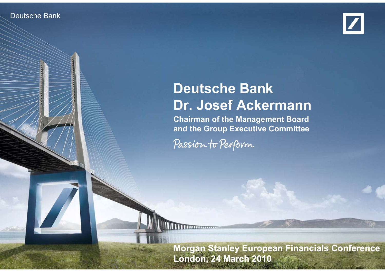### Deutsche Bank



# **Deutsche Bank Dr. Josef Ackermann**

**Chairman of the Management Board and the Group Executive Committee**

Passion to Perform

**Morgan Stanley European Financials Conference London, 24 March 2010**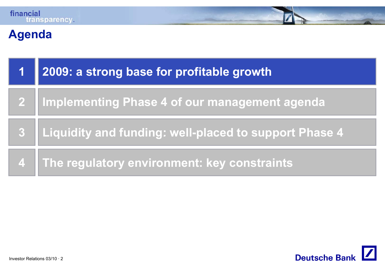# **Agenda**

| <b>AV</b> | 2009: a strong base for profitable growth             |
|-----------|-------------------------------------------------------|
|           | 2 Implementing Phase 4 of our management agenda       |
| 3         | Liquidity and funding: well-placed to support Phase 4 |
|           | 4 The regulatory environment: key constraints         |

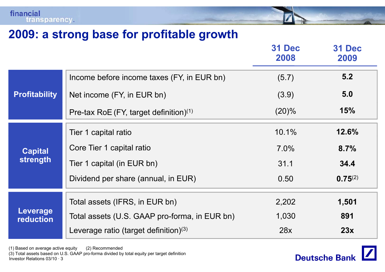

|                              |                                                    | <b>31 Dec</b><br>2008 | <b>31 Dec</b><br>2009 |
|------------------------------|----------------------------------------------------|-----------------------|-----------------------|
|                              | Income before income taxes (FY, in EUR bn)         | (5.7)                 | 5.2                   |
| <b>Profitability</b>         | Net income (FY, in EUR bn)                         | (3.9)                 | 5.0                   |
|                              | Pre-tax RoE (FY, target definition) <sup>(1)</sup> | $(20)\%$              | 15%                   |
|                              | Tier 1 capital ratio                               | 10.1%                 | 12.6%                 |
| <b>Capital</b>               | Core Tier 1 capital ratio                          | $7.0\%$               | 8.7%                  |
| strength                     | Tier 1 capital (in EUR bn)                         | 31.1                  | 34.4                  |
|                              | Dividend per share (annual, in EUR)                | 0.50                  | $0.75^{(2)}$          |
|                              | Total assets (IFRS, in EUR bn)                     | 2,202                 | 1,501                 |
| Leverage<br><b>reduction</b> | Total assets (U.S. GAAP pro-forma, in EUR bn)      | 1,030                 | 891                   |
|                              | Leverage ratio (target definition) $(3)$           | 28x                   | 23x                   |

(1) Based on average active equity (2) Recommended

Investor Relations 03/10 · 3(3) Total assets based on U.S. GAAP pro-forma divided by total equity per target definition

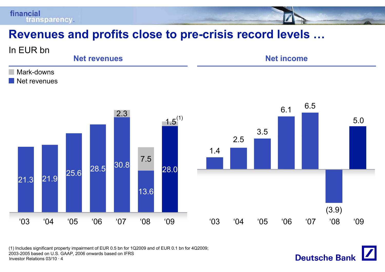## **Revenues and profits close to pre close -crisis record levels crisis levels …**



**Deutsche Bank** 

Investor Relations 03/10 · 4(1) Includes significant property impairment of EUR 0.5 bn for 1Q2009 and of EUR 0.1 bn for 4Q2009; 2003-2005 based on U.S. GAAP, 2006 onwards based on IFRS

financial

**transparency**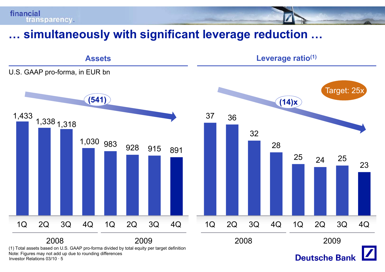## **… simultaneously with significant leverage reduction reduction …**

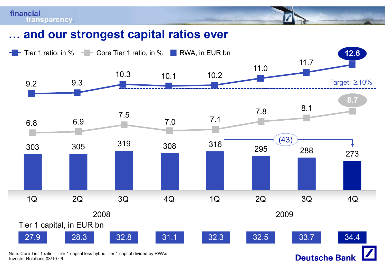

financial

**transparency** 

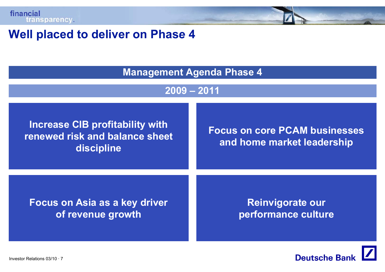### **Well placed to deliver on Phase 4 Well**

**M t A d Ph 4 Managemen Agen da Phase** 

### **2009 – 2011**

Increase CIB profitability with **Focus on core PCAM businesse**<br>renewed risk and balance sheet **and balance sheet**<br>and home market leadership<br>discipline

**Focus on core PCAM businesses**

**Focus on Asia as <sup>a</sup> key of revenue growth**

 **driver Reinvigorate our performance culture**

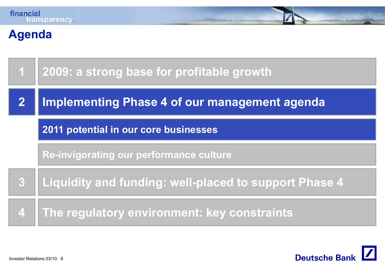

### **Agenda**

| $\overline{\mathbf{1}}$ | 2009: a strong base for profitable growth             |  |
|-------------------------|-------------------------------------------------------|--|
|                         | Implementing Phase 4 of our management agenda         |  |
|                         | 2011 potential in our core businesses                 |  |
|                         | <b>Re-invigorating our performance culture</b>        |  |
| $\overline{3}$          | Liquidity and funding: well-placed to support Phase 4 |  |
| 4                       | The regulatory environment: key constraints           |  |

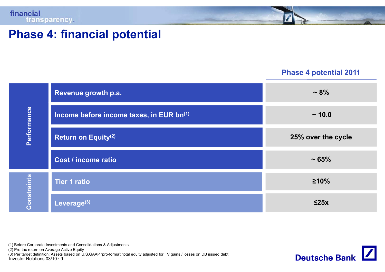

### **Phase 4: financial potential**

### **Phase 4 potential 2011**

|                    | Revenue growth p.a.                      | $~1.8\%$           |
|--------------------|------------------------------------------|--------------------|
|                    | Income before income taxes, in EUR bn(1) | ~10.0              |
| <b>Performance</b> | <b>Return on Equity(2)</b>               | 25% over the cycle |
|                    | <b>Cost / income ratio</b>               | ~1.65%             |
|                    | <b>Tier 1 ratio</b>                      | $\geq 10\%$        |
| Constraints        | Leverage $(3)$                           | $\leq$ 25x         |

(1) Before Corporate Investments and Consolidations & Adjustments

(2) Pre-tax return on Average Active Equity

Investor Relations 03/10 · 9 (3) Per target definition: Assets based on U.S.GAAP 'pro-forma'; total equity adjusted for FV gains / losses on DB issued debt

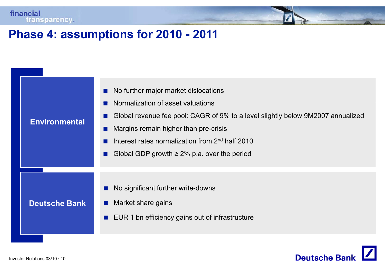### **Phase 4: assumptions for 2010 - 2011**

| <b>Environmental</b> | No further major market dislocations<br>$\blacksquare$<br>Normalization of asset valuations<br>Global revenue fee pool: CAGR of 9% to a level slightly below 9M2007 annualized<br>ш<br>Margins remain higher than pre-crisis<br>Interest rates normalization from 2 <sup>nd</sup> half 2010<br>Global GDP growth $\geq$ 2% p.a. over the period |
|----------------------|-------------------------------------------------------------------------------------------------------------------------------------------------------------------------------------------------------------------------------------------------------------------------------------------------------------------------------------------------|
| <b>Deutsche Bank</b> | No significant further write-downs<br>Market share gains<br>$\mathcal{L}_{\mathcal{A}}$<br>EUR 1 bn efficiency gains out of infrastructure<br>$\mathcal{L}_{\mathcal{A}}$                                                                                                                                                                       |

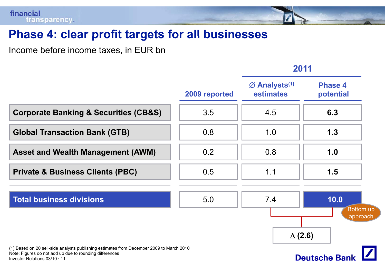### **Phase 4: clear profit targets for all businesses clear**

Income before income taxes, in EUR bn

### **2011**

|                                                                                                                                                                                      | 2009 reported | $\varnothing$ Analysts <sup>(1)</sup><br>estimates | <b>Phase 4</b><br>potential   |
|--------------------------------------------------------------------------------------------------------------------------------------------------------------------------------------|---------------|----------------------------------------------------|-------------------------------|
| <b>Corporate Banking &amp; Securities (CB&amp;S)</b>                                                                                                                                 | 3.5           | 4.5                                                | 6.3                           |
| <b>Global Transaction Bank (GTB)</b>                                                                                                                                                 | 0.8           | 1.0                                                | 1.3                           |
| <b>Asset and Wealth Management (AWM)</b>                                                                                                                                             | 0.2           | 0.8                                                | 1.0                           |
| <b>Private &amp; Business Clients (PBC)</b>                                                                                                                                          | 0.5           | 1.1                                                | 1.5                           |
| <b>Total business divisions</b>                                                                                                                                                      | 5.0           | 7.4                                                | 10.0<br>Bottom up<br>approach |
| (1) Based on 20 sell-side analysts publishing estimates from December 2009 to March 2010<br>Note: Figures do not add up due to rounding differences<br>Investor Relations 03/10 · 11 |               | $\Delta$ (2.6)                                     | <b>Deutsche Bank</b>          |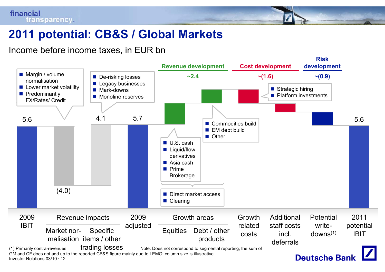## **2011 potential: CB&S / Global Markets**

Income before income taxes, in EUR bn

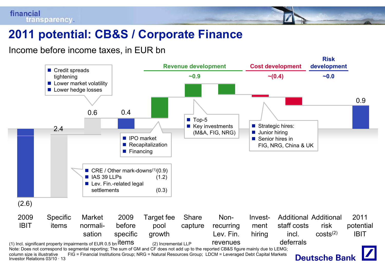# **2011 potential: CB&S / Corporate Finance**

Income before income taxes, in EUR bn



Investor Relations 03/10 · 13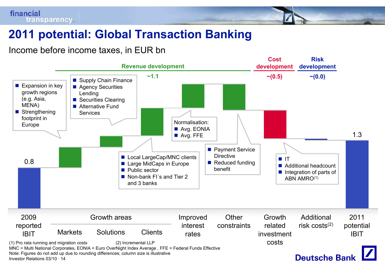# **2011 potential: Global Transaction Banking Transaction**

Income before income taxes, in EUR bn

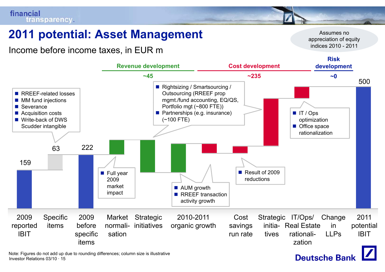# **2011 potential: Asset Management** Assumes no

Income before income taxes, in EUR m

**Revenue development Cost development Riskdevelopment p** 500 ■ RREEF-related losses ■ MM fund injections ■ Rightsizing / Smartsourcing / Outsourcing (RREEF prop m gmt./fund accounting, EQ/QS, **~45 ~235 ~0**■ Severance ■ Acquisition costs ■ Write-back of DWS Scudder intangible  $\blacksquare$  IT / Ops optimization ■ Office space rationalizationPortfolio mgt (~800 FTE)) **Partnerships (e.g. insurance)** (~100 FTE) 159 63 222 ■ AUM growth **RREEF** transaction activity growth ■ Full year 2009 market impact ■ Result of 2009 reductions2009reported IBITSpecific items2009beforespecific Costsavings run rate rationali Market normalisationStrategic IT/Ops/ c 2010-2011 Cost Strategic IT/Ops/ Change 2011<br>s organic growth savings initia- Real Estate in potential rationali-**Strategic** initiativesIBIT2010-2011organic growth **Change** inLLPstivesitemszation

Investor Relations 03/10 · 15Note: Figures do not add up due to rounding differences; column size is illustrative appreciation of equity indices 2010 - 2011

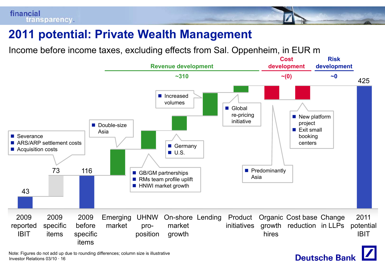## **2011 potential: Private Wealth Management**

Income before income taxes, excluding effects from Sal. Oppenheim, in EUR m



**Deutsche Bank** 

Investor Relations 03/10 · 16Note: Figures do not add up due to rounding differences; column size is illustrative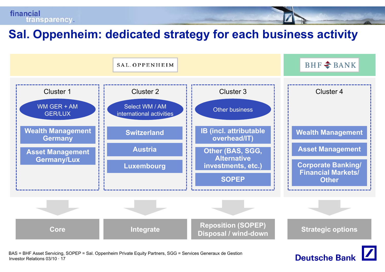## **Sal Oppenheim: dedicated strategy for each business activity Sal.**



Investor Relations 03/10 · 17BAS = BHF Asset Servicing, SOPEP = Sal. Oppenheim Private Equity Partners, SGG = Services Generaux de Gestion

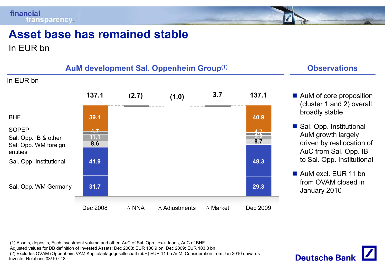

# **Asset base has remained stable remained**

In EUR bn



- AuM of core proposition (cluster 1 and 2) overall<br>broadly stable
- Sal. Opp. Institutional AuM growth largely driven by reallocation of AuC from Sal. Opp. IB to Sal. Opp. Institutional
- AuM excl. EUR 11 bn from OVAM closed in January 2010

Investor Relations 03/10 · 18(1) Assets, deposits, Esch investment volume and other, AuC of Sal. Opp., excl. loans, AuC of BHF Adjusted values for DB definition of Invested Assets: Dec 2008: EUR 100.9 bn; Dec 2009: EUR 103.3 bn (2) Excludes OVAM (Oppenheim VAM Kapitalanlagegesellschaft mbH) EUR 11 bn AuM. Consideration from Jan 2010 onwards

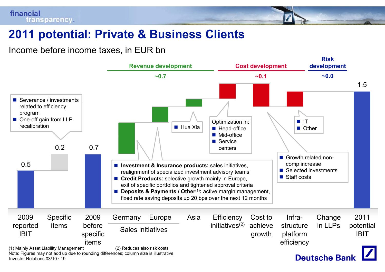### **2011 potential: Private & Business Clients**

Income before income taxes, in EUR bn



Investor Relations 03/10 · 19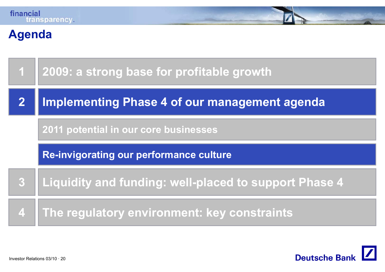

### **Agenda**

| $\mathbf 1$        | 2009: a strong base for profitable growth             |  |
|--------------------|-------------------------------------------------------|--|
|                    | <b>Implementing Phase 4 of our management agenda</b>  |  |
|                    | 2011 potential in our core businesses                 |  |
|                    | Re-invigorating our performance culture               |  |
| $\boldsymbol{3}$   | Liquidity and funding: well-placed to support Phase 4 |  |
| $\overline{\bf 4}$ | The regulatory environment: key constraints           |  |

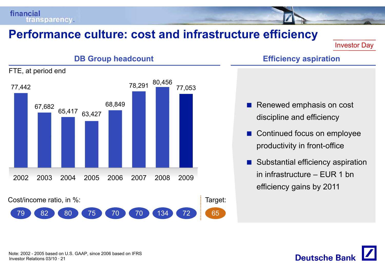### **Performance culture: cost and infrastructure efficiency**

Investor Day



- discipline and efficiency
- $\mathbb{R}^2$  Continued focus on employee productivity in front-office
- $\mathbb{R}^3$  Substantial efficiency aspiration in infrastructure – EUR 1 bnefficiency gains by 2011

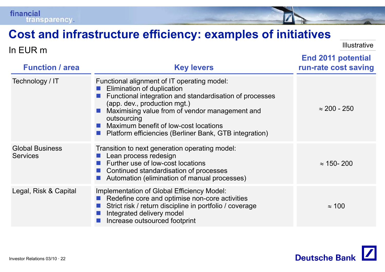### **Cost and infrastructure efficiency: examples of initiatives initiatives**

**Function / area Key levers End 2011 potential run -rate cost saving rate** In EUR m Illustrative Technology / IT Functional alignment of IT operating model: F. Elimination of duplication F. Functional integration and standardisation of processes (app. dev., production mgt.) **Maximising value from of vendor management and** outsourcing **Maximum benefit of low-cost locations** ■ Platform efficiencies (Berliner Bank, GTB integration)<br>Global Business Transition to next generation operating model:  $\approx 200$  -  $250$ **Services** Transition to next generation operating model: **Lean process redesign Further use of low-cost locations** F.  $\blacksquare$  Continued standardisation of processes  $\approx$  150- 200 F. Automation (elimination of manual processes) Legal, Risk & Capital Implementation of Global Efficiency Model: F. Redefine core and optimise non-core activities F. Strict risk / return discipline in portfolio / coverage F. Integrated delivery model F. Increase outsourced footprint  $\approx 100$ 

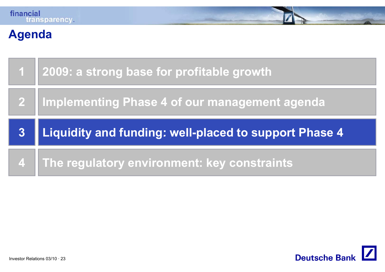# **Agenda**

|   | 1 2009: a strong base for profitable growth           |
|---|-------------------------------------------------------|
|   | 2 Implementing Phase 4 of our management agenda       |
|   |                                                       |
| 3 | Liquidity and funding: well-placed to support Phase 4 |

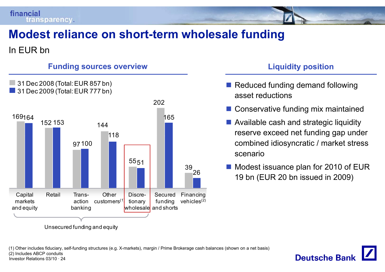

# **Modest reliance on short -term wholesale funding term**

### In EUR bn





Unsecured fundin g and equity

### **r l l l c idity position**

- Reduced funding demand following asset reductions
- **Conservative funding mix maintained**
- **Available cash and strategic liquidity** reserve exceed net funding gap under combined idiosyncratic / market stress scenario
- P. Modest issuance plan for 2010 of EUR<br>26 19 bn (EUR 20 bn issued in 2009)

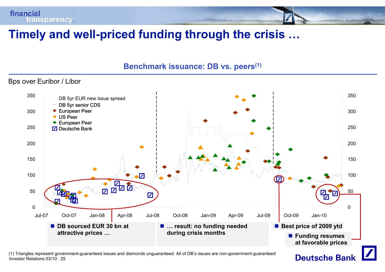

### **Timely and well well-priced funding through the crisis priced crisis …**

### **Benchmark issuance: DB vs. peers(1) e c a ssua ce s pee s**

### Bps over Euribor / Libor



Investor Relations 03/10 · 25(1) Triangles represent government-guaranteed issues and diamonds unguaranteed. All of DB's issues are non-government-guaranteed

### **Deutsche Bank**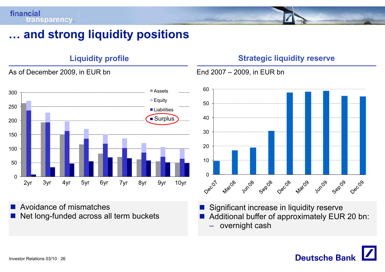As of December 2009, in EUR bn

### **… and strong liquidity positions**

### 300 Assets Equit 150200250 **Liabilities** Surplus Surplus 50100 $\Omega$ 2yr 8yr 9yr 10yr 3yr 4yr 5yr 6yr 7yr

 $\mathbb{R}^n$  Avoidance of mismatches L. Net long-funded across all term buckets

### **Liquidity profile Strategic liquidity reserve**

– 2009, in EUR bn



 $\mathbb{R}^n$ Significant increase in liquidity reserve

- Additional buffer of approximately EUR 20 bn:
	- overnight cash

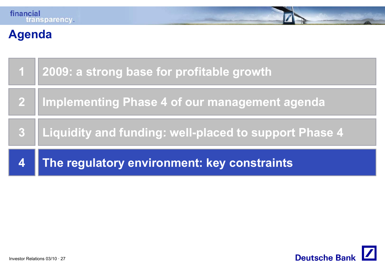# **Agenda**

|                    | 1 2009: a strong base for profitable growth           |
|--------------------|-------------------------------------------------------|
|                    | 2   Implementing Phase 4 of our management agenda     |
| 3                  | Liquidity and funding: well-placed to support Phase 4 |
| $\vert\bm{4}\vert$ | The regulatory environment: key constraints           |

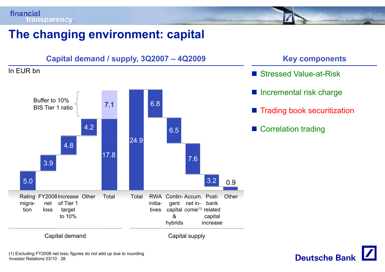# **The changing environment: capital**



- Stressed Value-at-Risk
- **Incremental risk charge**
- $\blacksquare$  Trading book securitization
- Correlation trading

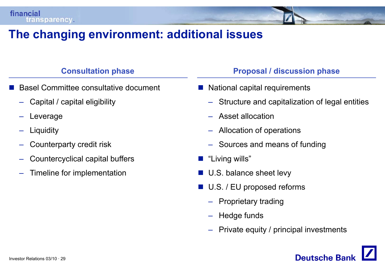### **The changing environment: additional issues**

### **C lt ti h Consult ation p hase**

- L. Basel Committee consultative document
	- Capital / capital eligibility –
	- Leverage
	- –**Liquidity**
	- –Counterparty credit risk
	- –Countercyclical capital buffers
	- Timeline for implementation

### **P l / di i h Proposal discussion p hase**

- National capital requirements
	- Structure and capitalization of legal entities
	- Asset allocation
	- –Allocation of operations
	- Sources and means of funding
- $\mathbb{R}^2$ "Living wills"
- U.S. balance sheet levy
- $\mathbb{R}^2$  U.S. / EU proposed reforms
	- –Proprietary trading
	- –Hedge funds
	- Private equity / principal investments

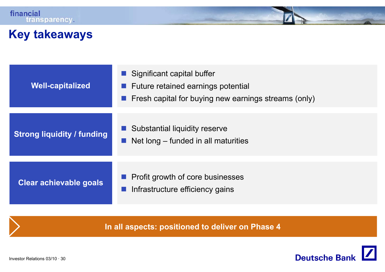### **Key takeaways**

| <b>Well-capitalized</b>           | Significant capital buffer<br>Future retained earnings potential<br>Fresh capital for buying new earnings streams (only) |
|-----------------------------------|--------------------------------------------------------------------------------------------------------------------------|
| <b>Strong liquidity / funding</b> | Substantial liquidity reserve<br>Net long – funded in all maturities                                                     |
| Clear achievable goals            | Profit growth of core businesses<br>Infrastructure efficiency gains                                                      |

**In all aspects: positioned to deliver on Phase 4**